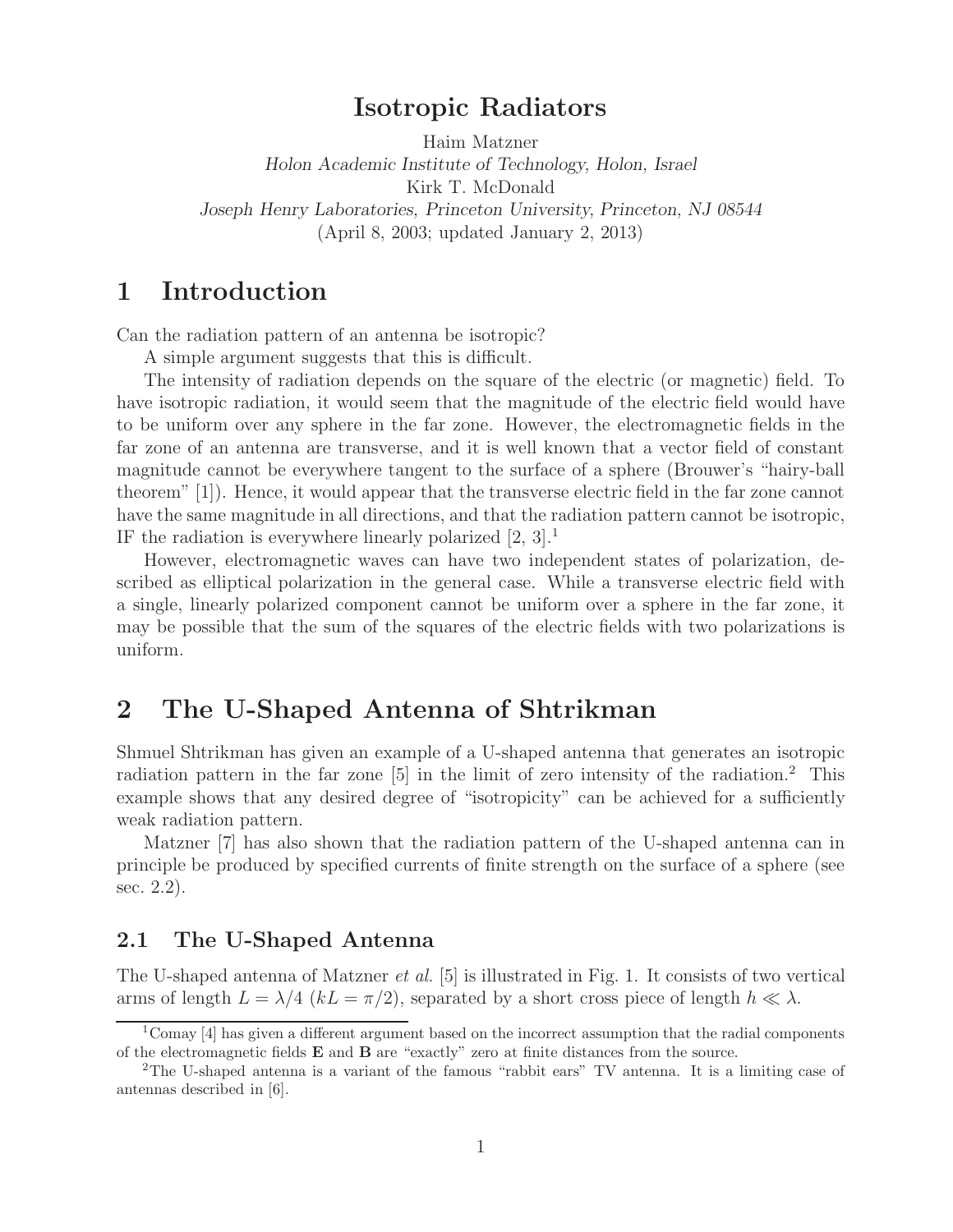### **Isotropic Radiators**

Haim Matzner *Holon Academic Institute of Technology, Holon, Israel* Kirk T. McDonald *Joseph Henry Laboratories, Princeton University, Princeton, NJ 08544* (April 8, 2003; updated January 2, 2013)

## **1 Introduction**

Can the radiation pattern of an antenna be isotropic?

A simple argument suggests that this is difficult.

The intensity of radiation depends on the square of the electric (or magnetic) field. To have isotropic radiation, it would seem that the magnitude of the electric field would have to be uniform over any sphere in the far zone. However, the electromagnetic fields in the far zone of an antenna are transverse, and it is well known that a vector field of constant magnitude cannot be everywhere tangent to the surface of a sphere (Brouwer's "hairy-ball theorem" [1]). Hence, it would appear that the transverse electric field in the far zone cannot have the same magnitude in all directions, and that the radiation pattern cannot be isotropic, IF the radiation is everywhere linearly polarized  $[2, 3]$ .<sup>1</sup>

However, electromagnetic waves can have two independent states of polarization, described as elliptical polarization in the general case. While a transverse electric field with a single, linearly polarized component cannot be uniform over a sphere in the far zone, it may be possible that the sum of the squares of the electric fields with two polarizations is uniform.

### **2 The U-Shaped Antenna of Shtrikman**

Shmuel Shtrikman has given an example of a U-shaped antenna that generates an isotropic radiation pattern in the far zone [5] in the limit of zero intensity of the radiation.<sup>2</sup> This example shows that any desired degree of "isotropicity" can be achieved for a sufficiently weak radiation pattern.

Matzner [7] has also shown that the radiation pattern of the U-shaped antenna can in principle be produced by specified currents of finite strength on the surface of a sphere (see sec. 2.2).

#### **2.1 The U-Shaped Antenna**

The U-shaped antenna of Matzner *et al.* [5] is illustrated in Fig. 1. It consists of two vertical arms of length  $L = \lambda/4$  ( $kL = \pi/2$ ), separated by a short cross piece of length  $h \ll \lambda$ .

 $1$ Comay [4] has given a different argument based on the incorrect assumption that the radial components of the electromagnetic fields **E** and **B** are "exactly" zero at finite distances from the source.

<sup>2</sup>The U-shaped antenna is a variant of the famous "rabbit ears" TV antenna. It is a limiting case of antennas described in [6].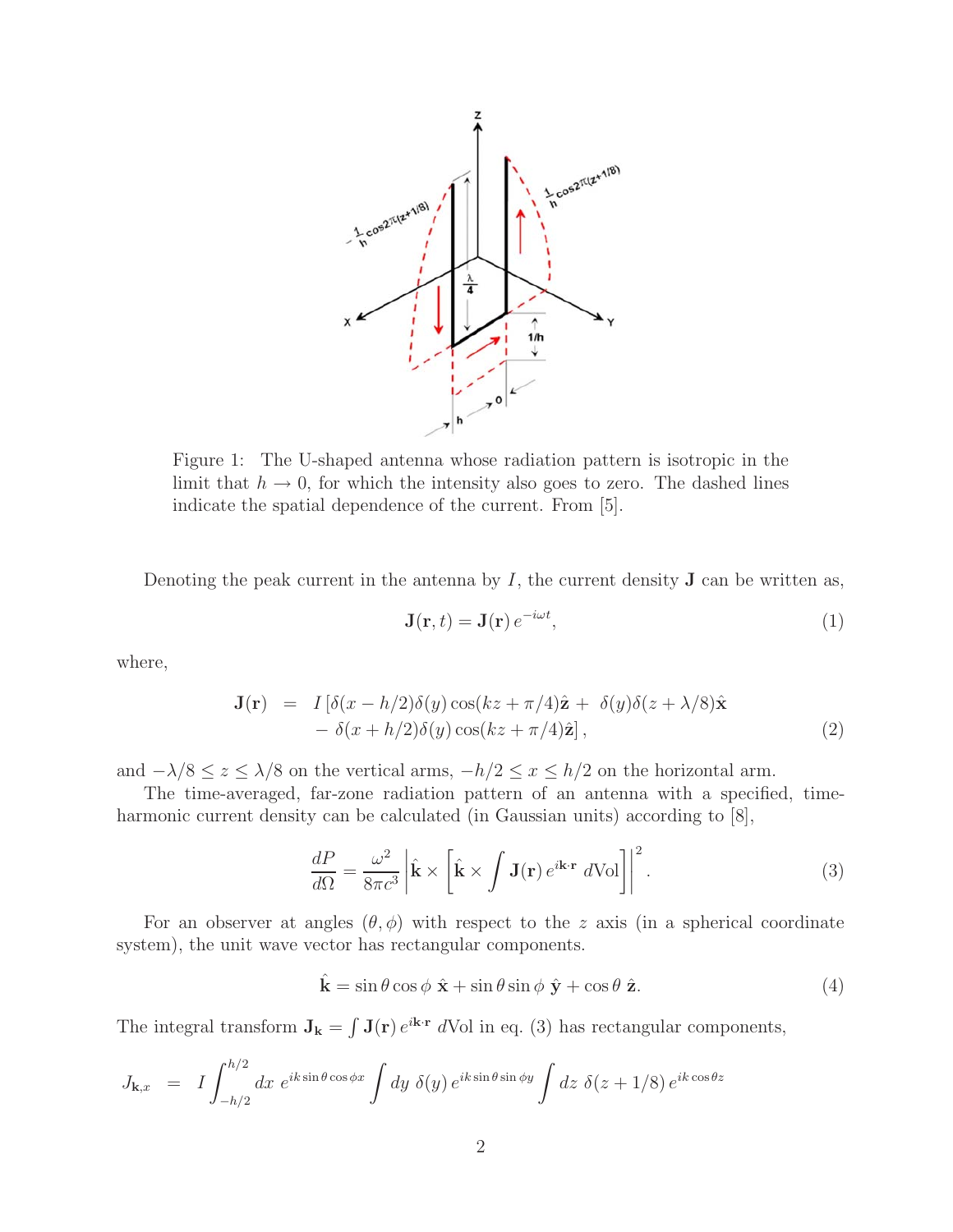

Figure 1: The U-shaped antenna whose radiation pattern is isotropic in the limit that  $h \to 0$ , for which the intensity also goes to zero. The dashed lines indicate the spatial dependence of the current. From [5].

Denoting the peak current in the antenna by  $I$ , the current density **J** can be written as,

$$
\mathbf{J}(\mathbf{r},t) = \mathbf{J}(\mathbf{r})e^{-i\omega t},\tag{1}
$$

where,

$$
\mathbf{J}(\mathbf{r}) = I\left[\delta(x - h/2)\delta(y)\cos(kz + \pi/4)\hat{\mathbf{z}} + \delta(y)\delta(z + \lambda/8)\hat{\mathbf{x}} - \delta(x + h/2)\delta(y)\cos(kz + \pi/4)\hat{\mathbf{z}}\right],
$$
\n(2)

and  $-\lambda/8 \le z \le \lambda/8$  on the vertical arms,  $-h/2 \le x \le h/2$  on the horizontal arm.

The time-averaged, far-zone radiation pattern of an antenna with a specified, timeharmonic current density can be calculated (in Gaussian units) according to  $|8|$ ,

$$
\frac{dP}{d\Omega} = \frac{\omega^2}{8\pi c^3} \left| \hat{\mathbf{k}} \times \left[ \hat{\mathbf{k}} \times \int \mathbf{J}(\mathbf{r}) e^{i\mathbf{k}\cdot\mathbf{r}} d\text{Vol} \right] \right|^2.
$$
 (3)

For an observer at angles  $(\theta, \phi)$  with respect to the z axis (in a spherical coordinate system), the unit wave vector has rectangular components.

$$
\hat{\mathbf{k}} = \sin \theta \cos \phi \ \hat{\mathbf{x}} + \sin \theta \sin \phi \ \hat{\mathbf{y}} + \cos \theta \ \hat{\mathbf{z}}.
$$
 (4)

The integral transform  $J_k = \int J(r) e^{i\mathbf{k} \cdot \mathbf{r}} d\text{Vol}$  in eq. (3) has rectangular components,

$$
J_{\mathbf{k},x} = I \int_{-h/2}^{h/2} dx \ e^{ik \sin \theta \cos \phi x} \int dy \ \delta(y) \ e^{ik \sin \theta \sin \phi y} \int dz \ \delta(z + 1/8) \ e^{ik \cos \theta z}
$$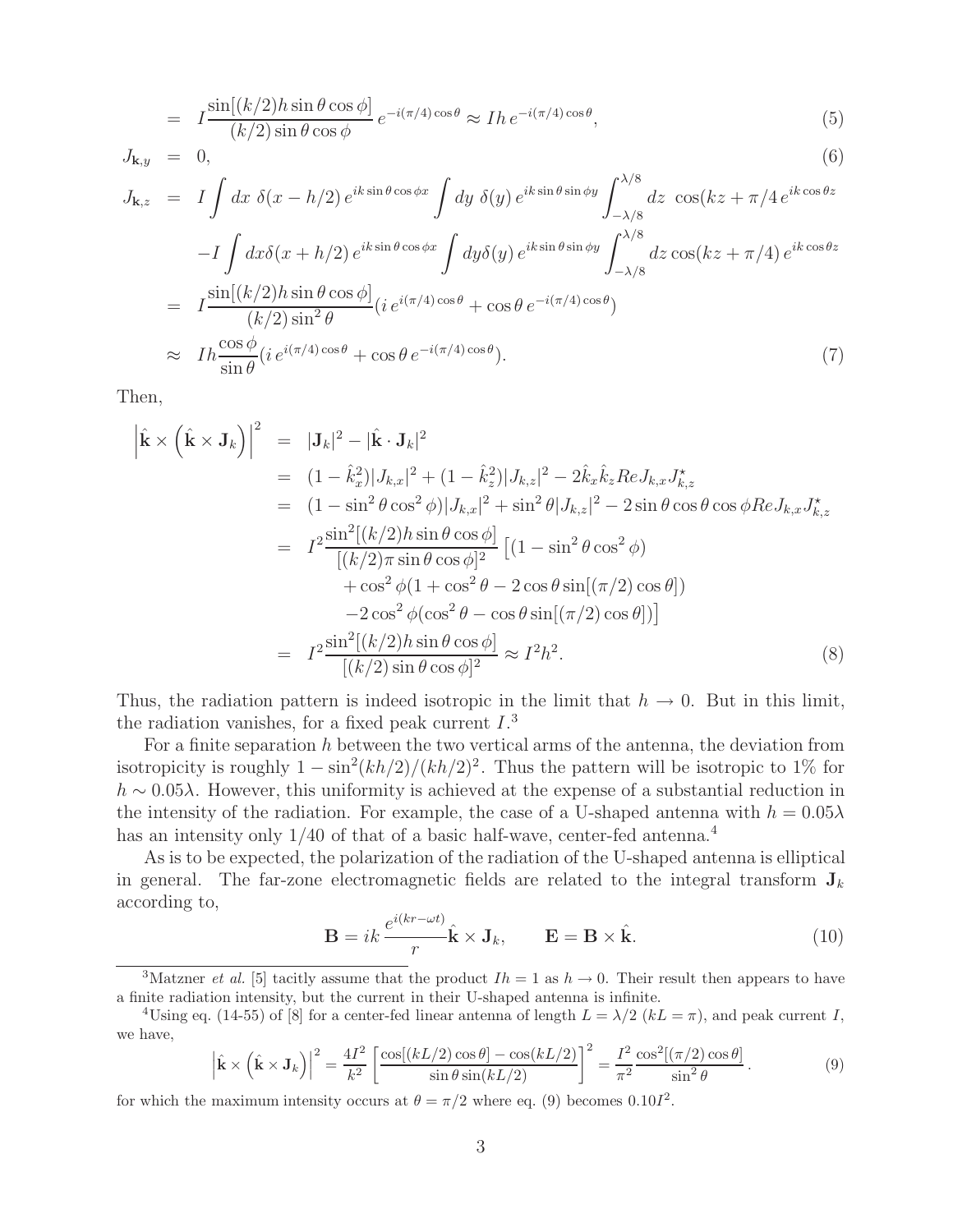$$
= I \frac{\sin[(k/2)h\sin\theta\cos\phi]}{(k/2)\sin\theta\cos\phi} e^{-i(\pi/4)\cos\theta} \approx I h e^{-i(\pi/4)\cos\theta},
$$
\n(5)

$$
J_{\mathbf{k},y} = 0, \tag{6}
$$

$$
J_{\mathbf{k},z} = I \int dx \, \delta(x - h/2) e^{ik \sin \theta \cos \phi x} \int dy \, \delta(y) e^{ik \sin \theta \sin \phi y} \int_{-\lambda/8}^{\lambda/8} dz \, \cos(kz + \pi/4 e^{ik \cos \theta z})
$$
  
\n
$$
-I \int dx \delta(x + h/2) e^{ik \sin \theta \cos \phi x} \int dy \delta(y) e^{ik \sin \theta \sin \phi y} \int_{-\lambda/8}^{\lambda/8} dz \cos(kz + \pi/4) e^{ik \cos \theta z}
$$
  
\n
$$
= I \frac{\sin[(k/2)h \sin \theta \cos \phi]}{(k/2) \sin^2 \theta} (i e^{i(\pi/4) \cos \theta} + \cos \theta e^{-i(\pi/4) \cos \theta})
$$
  
\n
$$
\approx I h \frac{\cos \phi}{\sin \theta} (i e^{i(\pi/4) \cos \theta} + \cos \theta e^{-i(\pi/4) \cos \theta}). \tag{7}
$$

Then,

$$
\begin{split}\n\left|\hat{\mathbf{k}} \times \left(\hat{\mathbf{k}} \times \mathbf{J}_{k}\right)\right|^{2} &= |J_{k}|^{2} - |\hat{\mathbf{k}} \cdot \mathbf{J}_{k}|^{2} \\
&= (1 - \hat{k}_{x}^{2})|J_{k,x}|^{2} + (1 - \hat{k}_{z}^{2})|J_{k,z}|^{2} - 2\hat{k}_{x}\hat{k}_{z}ReJ_{k,x}J_{k,z}^{\star} \\
&= (1 - \sin^{2}\theta\cos^{2}\phi)|J_{k,x}|^{2} + \sin^{2}\theta|J_{k,z}|^{2} - 2\sin\theta\cos\theta\cos\phi ReJ_{k,x}J_{k,z}^{\star} \\
&= I^{2}\frac{\sin^{2}[(k/2)h\sin\theta\cos\phi]}{[(k/2)\pi\sin\theta\cos\phi]^{2}}\left[(1 - \sin^{2}\theta\cos^{2}\phi) \\
&\quad + \cos^{2}\phi(1 + \cos^{2}\theta - 2\cos\theta\sin[(\pi/2)\cos\theta])\right) \\
&\quad - 2\cos^{2}\phi(\cos^{2}\theta - \cos\theta\sin[(\pi/2)\cos\theta])\right] \\
&= I^{2}\frac{\sin^{2}[(k/2)h\sin\theta\cos\phi]}{[(k/2)\sin\theta\cos\phi]^{2}} \approx I^{2}h^{2}.\n\end{split} \tag{8}
$$

Thus, the radiation pattern is indeed isotropic in the limit that  $h \to 0$ . But in this limit, the radiation vanishes, for a fixed peak current  $I$ <sup>3</sup>

For a finite separation  $h$  between the two vertical arms of the antenna, the deviation from isotropicity is roughly  $1 - \sin^2(kh/2)/(kh/2)^2$ . Thus the pattern will be isotropic to 1% for  $h \sim 0.05\lambda$ . However, this uniformity is achieved at the expense of a substantial reduction in the intensity of the radiation. For example, the case of a U-shaped antenna with  $h = 0.05\lambda$ has an intensity only  $1/40$  of that of a basic half-wave, center-fed antenna.<sup>4</sup>

As is to be expected, the polarization of the radiation of the U-shaped antenna is elliptical in general. The far-zone electromagnetic fields are related to the integral transform  $J_k$ according to,

$$
\mathbf{B} = ik \frac{e^{i(kr - \omega t)}}{r} \hat{\mathbf{k}} \times \mathbf{J}_k, \qquad \mathbf{E} = \mathbf{B} \times \hat{\mathbf{k}}.
$$
 (10)

<sup>3</sup>Matzner *et al.* [5] tacitly assume that the product  $Ih = 1$  as  $h \rightarrow 0$ . Their result then appears to have a finite radiation intensity, but the current in their U-shaped antenna is infinite.

<sup>4</sup>Using eq. (14-55) of [8] for a center-fed linear antenna of length  $L = \lambda/2$  ( $kL = \pi$ ), and peak current I, we have,

$$
\left|\hat{\mathbf{k}} \times \left(\hat{\mathbf{k}} \times \mathbf{J}_k\right)\right|^2 = \frac{4I^2}{k^2} \left[\frac{\cos[(kL/2)\cos\theta] - \cos(kL/2)}{\sin\theta \sin(kL/2)}\right]^2 = \frac{I^2}{\pi^2} \frac{\cos^2[(\pi/2)\cos\theta]}{\sin^2\theta}.
$$
\n(9)

for which the maximum intensity occurs at  $\theta = \pi/2$  where eq. (9) becomes 0.101<sup>2</sup>.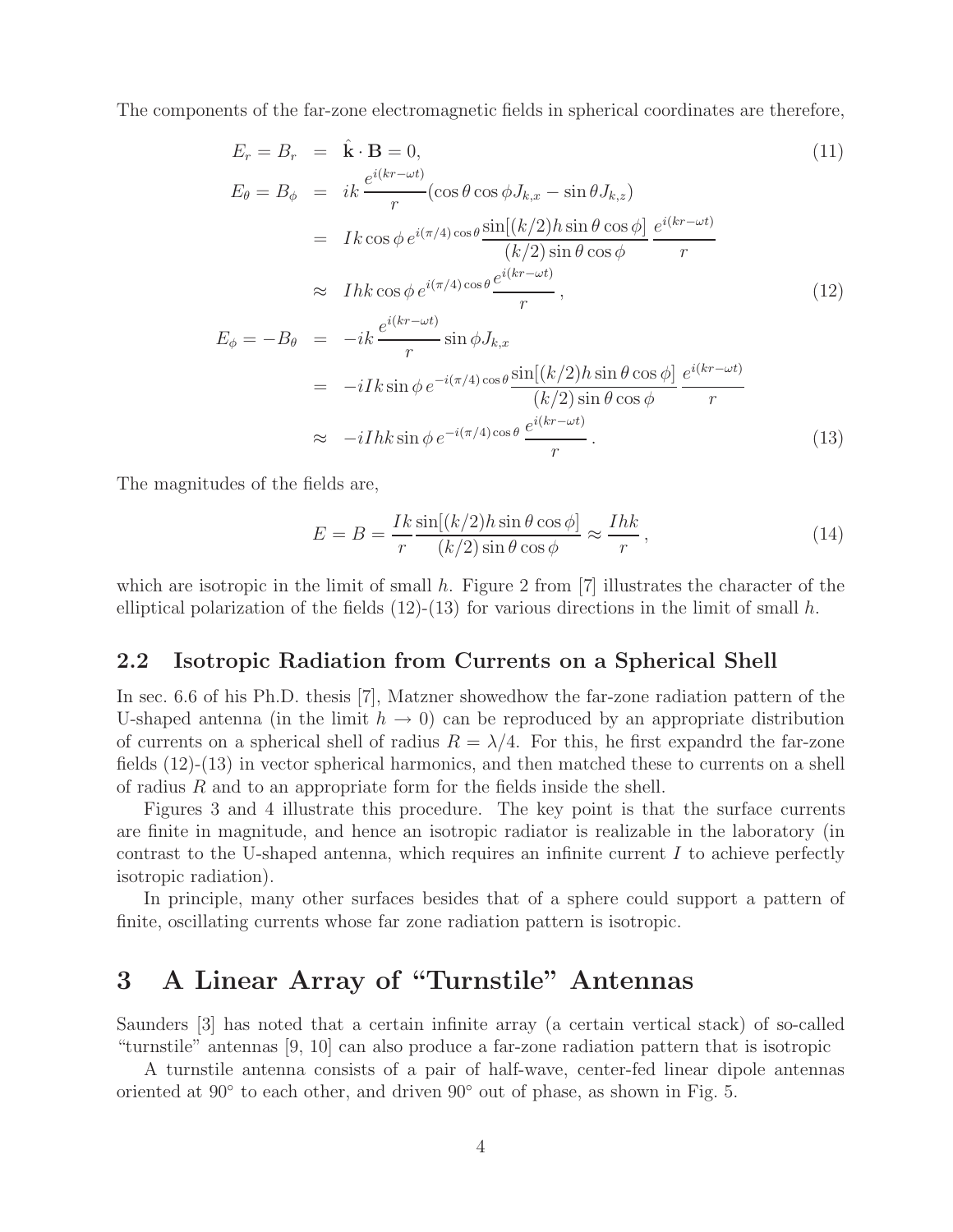The components of the far-zone electromagnetic fields in spherical coordinates are therefore,

$$
E_r = B_r = \hat{\mathbf{k}} \cdot \mathbf{B} = 0,
$$
\n
$$
E_{\theta} = B_{\phi} = ik \frac{e^{i(kr - \omega t)}}{r} (\cos \theta \cos \phi J_{k,x} - \sin \theta J_{k,z})
$$
\n
$$
= Ik \cos \phi e^{i(\pi/4) \cos \theta} \frac{\sin[(k/2)h \sin \theta \cos \phi]}{(k/2) \sin \theta \cos \phi} \frac{e^{i(kr - \omega t)}}{r}
$$
\n
$$
\approx Ilk \cos \phi e^{i(\pi/4) \cos \theta} \frac{e^{i(kr - \omega t)}}{r},
$$
\n
$$
e^{i(kr - \omega t)}
$$
\n(12)

$$
E_{\phi} = -B_{\theta} = -ik \frac{e^{i(kr - \omega t)}}{r} \sin \phi J_{k,x}
$$
  
=  $-iIk \sin \phi e^{-i(\pi/4) \cos \theta} \frac{\sin[(k/2)h \sin \theta \cos \phi]}{(k/2) \sin \theta \cos \phi} \frac{e^{i(kr - \omega t)}}{r}$   
 $\approx -iIh k \sin \phi e^{-i(\pi/4) \cos \theta} \frac{e^{i(kr - \omega t)}}{r}$ . (13)

The magnitudes of the fields are,

$$
E = B = \frac{Ik}{r} \frac{\sin[(k/2)h\sin\theta\cos\phi]}{(k/2)\sin\theta\cos\phi} \approx \frac{Ihk}{r},
$$
\n(14)

which are isotropic in the limit of small h. Figure 2 from  $[7]$  illustrates the character of the elliptical polarization of the fields  $(12)-(13)$  for various directions in the limit of small h.

#### **2.2 Isotropic Radiation from Currents on a Spherical Shell**

In sec. 6.6 of his Ph.D. thesis [7], Matzner showedhow the far-zone radiation pattern of the U-shaped antenna (in the limit  $h \to 0$ ) can be reproduced by an appropriate distribution of currents on a spherical shell of radius  $R = \lambda/4$ . For this, he first expandrd the far-zone fields (12)-(13) in vector spherical harmonics, and then matched these to currents on a shell of radius R and to an appropriate form for the fields inside the shell.

Figures 3 and 4 illustrate this procedure. The key point is that the surface currents are finite in magnitude, and hence an isotropic radiator is realizable in the laboratory (in contrast to the U-shaped antenna, which requires an infinite current I to achieve perfectly isotropic radiation).

In principle, many other surfaces besides that of a sphere could support a pattern of finite, oscillating currents whose far zone radiation pattern is isotropic.

# **3 A Linear Array of "Turnstile" Antennas**

Saunders [3] has noted that a certain infinite array (a certain vertical stack) of so-called "turnstile" antennas [9, 10] can also produce a far-zone radiation pattern that is isotropic

A turnstile antenna consists of a pair of half-wave, center-fed linear dipole antennas oriented at 90◦ to each other, and driven 90◦ out of phase, as shown in Fig. 5.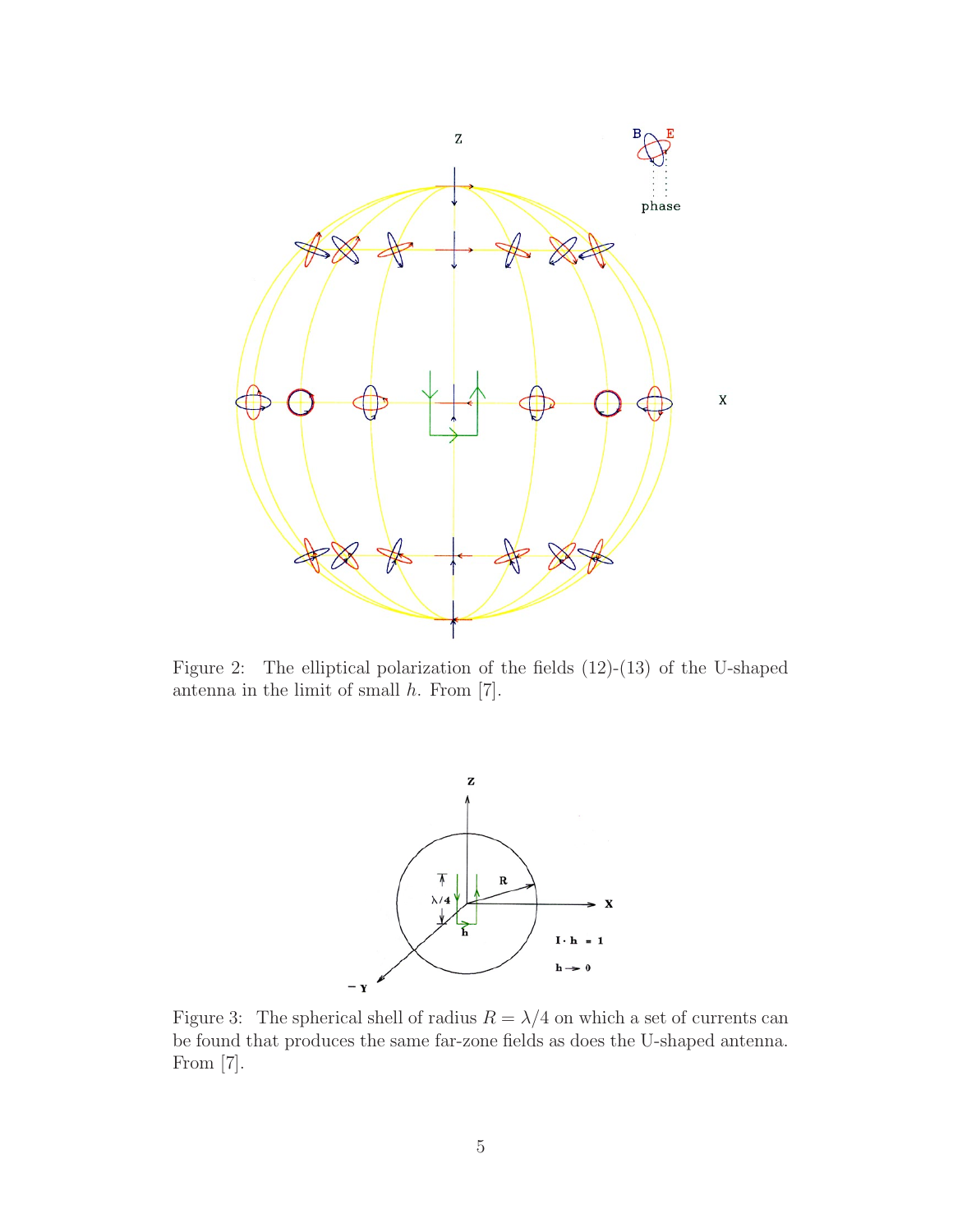

Figure 2: The elliptical polarization of the fields (12)-(13) of the U-shaped antenna in the limit of small  $h$ . From [7].



Figure 3: The spherical shell of radius  $R = \lambda/4$  on which a set of currents can be found that produces the same far-zone fields as does the U-shaped antenna. From [7].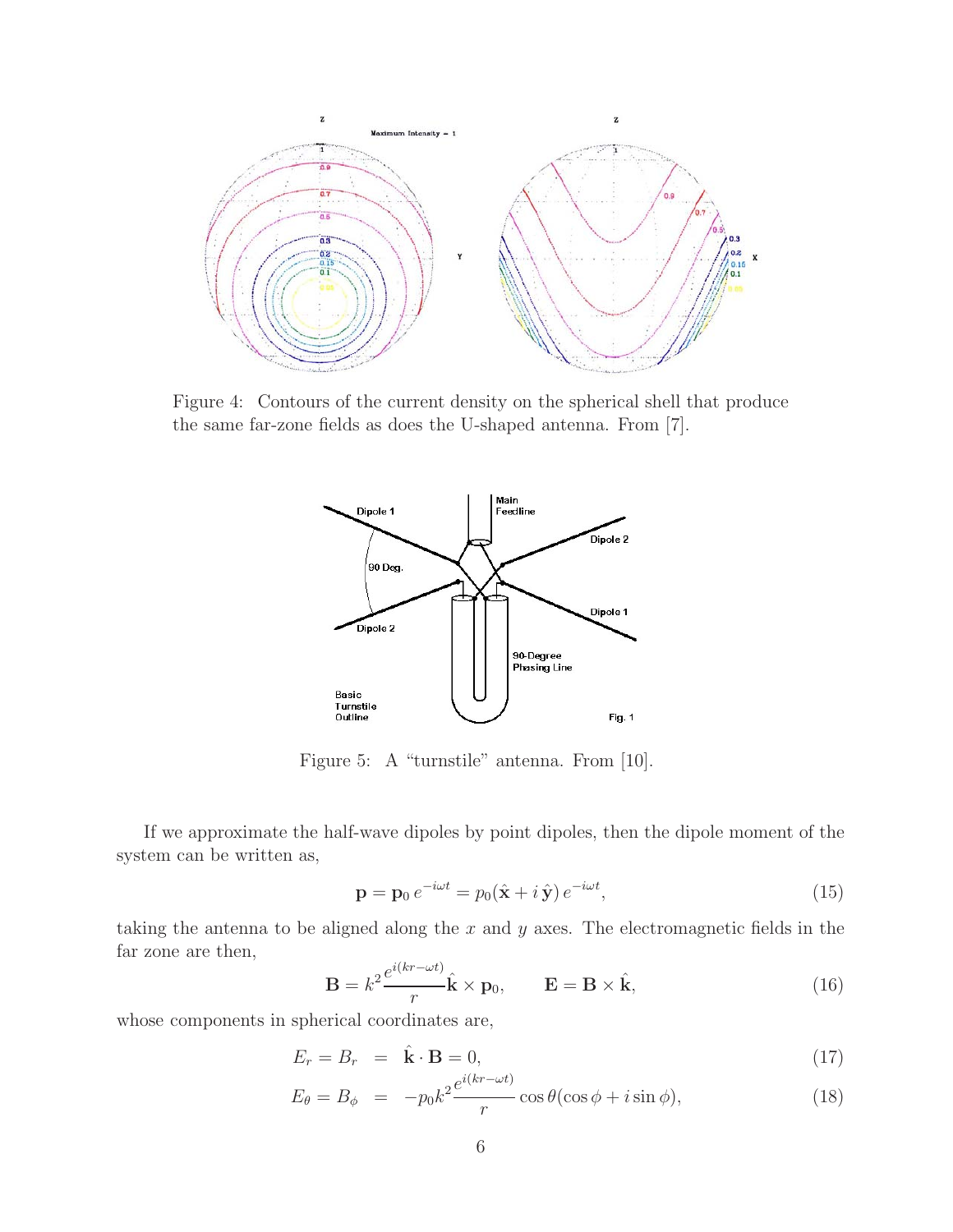

Figure 4: Contours of the current density on the spherical shell that produce the same far-zone fields as does the U-shaped antenna. From [7].



Figure 5: A "turnstile" antenna. From [10].

If we approximate the half-wave dipoles by point dipoles, then the dipole moment of the system can be written as,

$$
\mathbf{p} = \mathbf{p}_0 e^{-i\omega t} = p_0(\hat{\mathbf{x}} + i\,\hat{\mathbf{y}}) e^{-i\omega t},\tag{15}
$$

taking the antenna to be aligned along the  $x$  and  $y$  axes. The electromagnetic fields in the far zone are then,

$$
\mathbf{B} = k^2 \frac{e^{i(kr - \omega t)}}{r} \hat{\mathbf{k}} \times \mathbf{p}_0, \qquad \mathbf{E} = \mathbf{B} \times \hat{\mathbf{k}}, \tag{16}
$$

whose components in spherical coordinates are,

$$
E_r = B_r = \hat{\mathbf{k}} \cdot \mathbf{B} = 0, \tag{17}
$$

$$
E_{\theta} = B_{\phi} = -p_0 k^2 \frac{e^{i(kr - \omega t)}}{r} \cos \theta (\cos \phi + i \sin \phi), \qquad (18)
$$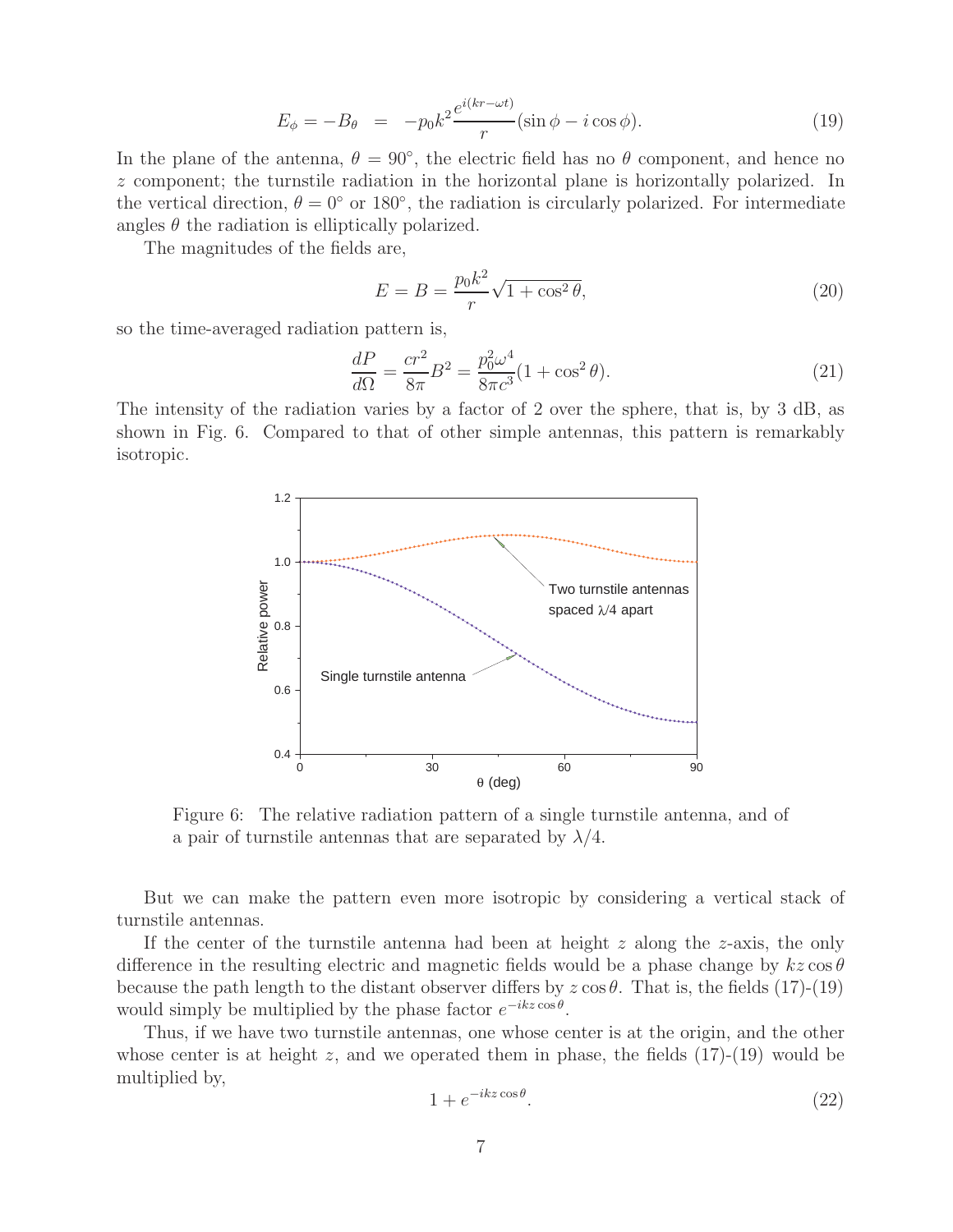$$
E_{\phi} = -B_{\theta} = -p_0 k^2 \frac{e^{i(kr - \omega t)}}{r} (\sin \phi - i \cos \phi). \tag{19}
$$

In the plane of the antenna,  $\theta = 90^{\circ}$ , the electric field has no  $\theta$  component, and hence no z component; the turnstile radiation in the horizontal plane is horizontally polarized. In the vertical direction,  $\theta = 0^{\circ}$  or 180 $^{\circ}$ , the radiation is circularly polarized. For intermediate angles  $\theta$  the radiation is elliptically polarized.

The magnitudes of the fields are,

$$
E = B = \frac{p_0 k^2}{r} \sqrt{1 + \cos^2 \theta},
$$
\n(20)

so the time-averaged radiation pattern is,

$$
\frac{dP}{d\Omega} = \frac{cr^2}{8\pi}B^2 = \frac{p_0^2\omega^4}{8\pi c^3}(1 + \cos^2\theta). \tag{21}
$$

The intensity of the radiation varies by a factor of 2 over the sphere, that is, by 3 dB, as shown in Fig. 6. Compared to that of other simple antennas, this pattern is remarkably isotropic.



Figure 6: The relative radiation pattern of a single turnstile antenna, and of a pair of turnstile antennas that are separated by  $\lambda/4$ .

But we can make the pattern even more isotropic by considering a vertical stack of turnstile antennas.

If the center of the turnstile antenna had been at height  $z$  along the  $z$ -axis, the only difference in the resulting electric and magnetic fields would be a phase change by  $kz\cos\theta$ because the path length to the distant observer differs by  $z \cos \theta$ . That is, the fields (17)-(19) would simply be multiplied by the phase factor  $e^{-ikz\cos\theta}$ .

Thus, if we have two turnstile antennas, one whose center is at the origin, and the other whose center is at height z, and we operated them in phase, the fields  $(17)-(19)$  would be multiplied by,

$$
1 + e^{-ikz\cos\theta}.\tag{22}
$$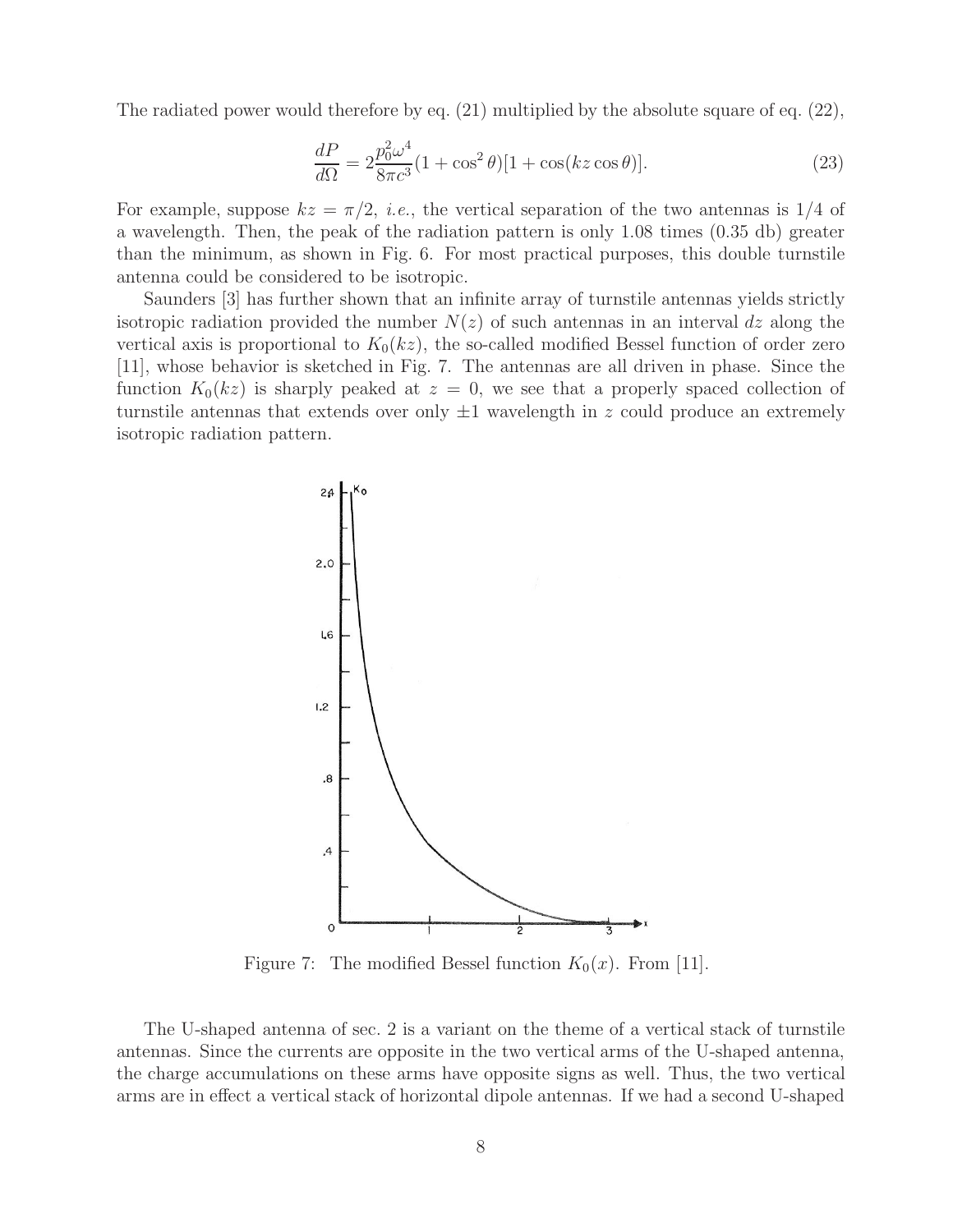The radiated power would therefore by eq. (21) multiplied by the absolute square of eq. (22),

$$
\frac{dP}{d\Omega} = 2\frac{p_0^2 \omega^4}{8\pi c^3} (1 + \cos^2 \theta)[1 + \cos(kz \cos \theta)].
$$
\n(23)

For example, suppose  $kz = \pi/2$ , *i.e.*, the vertical separation of the two antennas is 1/4 of a wavelength. Then, the peak of the radiation pattern is only 1.08 times (0.35 db) greater than the minimum, as shown in Fig. 6. For most practical purposes, this double turnstile antenna could be considered to be isotropic.

Saunders [3] has further shown that an infinite array of turnstile antennas yields strictly isotropic radiation provided the number  $N(z)$  of such antennas in an interval dz along the vertical axis is proportional to  $K_0(kz)$ , the so-called modified Bessel function of order zero [11], whose behavior is sketched in Fig. 7. The antennas are all driven in phase. Since the function  $K_0(kz)$  is sharply peaked at  $z = 0$ , we see that a properly spaced collection of turnstile antennas that extends over only  $\pm 1$  wavelength in z could produce an extremely isotropic radiation pattern.



Figure 7: The modified Bessel function  $K_0(x)$ . From [11].

The U-shaped antenna of sec. 2 is a variant on the theme of a vertical stack of turnstile antennas. Since the currents are opposite in the two vertical arms of the U-shaped antenna, the charge accumulations on these arms have opposite signs as well. Thus, the two vertical arms are in effect a vertical stack of horizontal dipole antennas. If we had a second U-shaped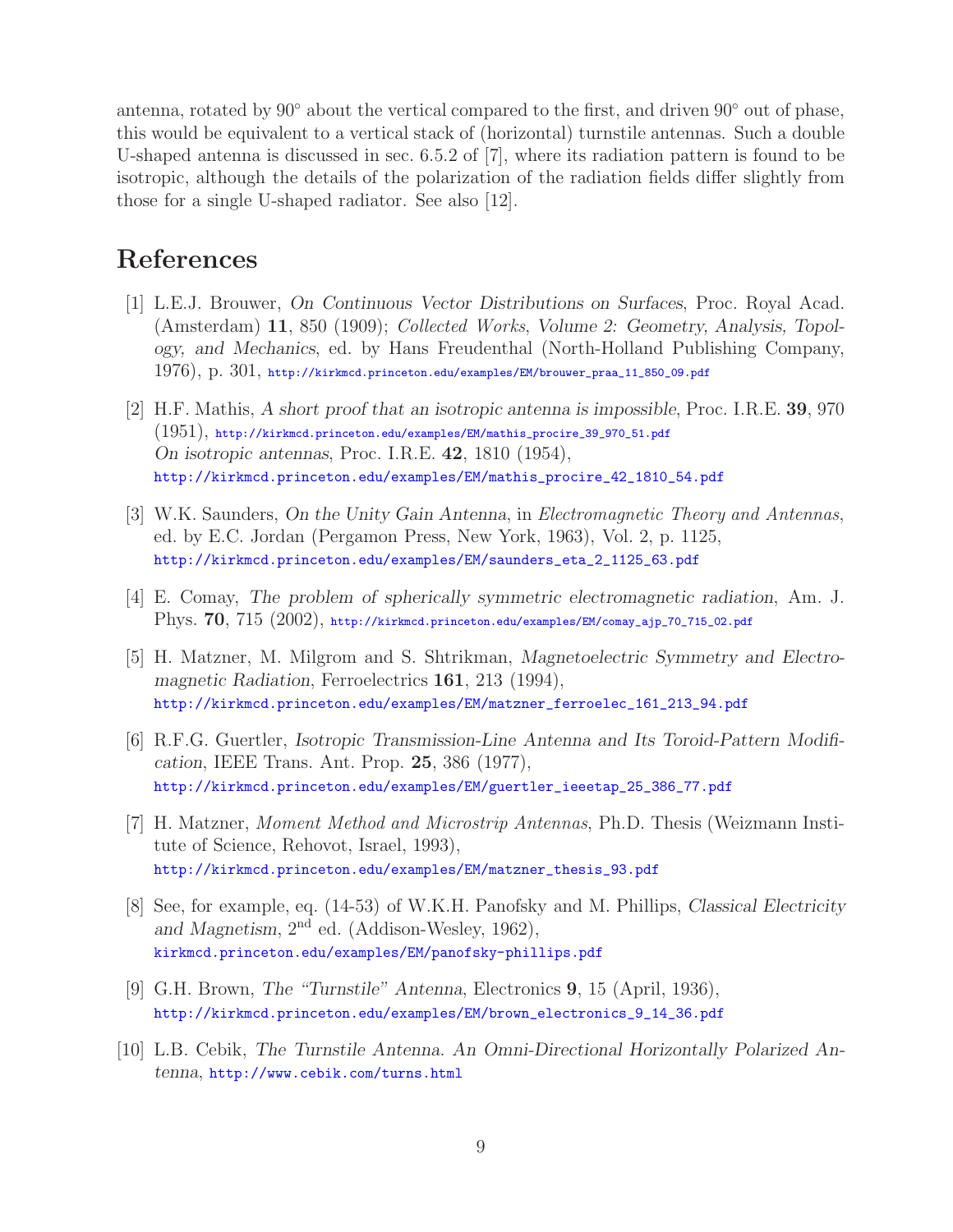antenna, rotated by 90◦ about the vertical compared to the first, and driven 90◦ out of phase, this would be equivalent to a vertical stack of (horizontal) turnstile antennas. Such a double U-shaped antenna is discussed in sec. 6.5.2 of [7], where its radiation pattern is found to be isotropic, although the details of the polarization of the radiation fields differ slightly from those for a single U-shaped radiator. See also [12].

# **References**

- [1] L.E.J. Brouwer, *On Continuous Vector Distributions on Surfaces*, Proc. Royal Acad. (Amsterdam) **11**, 850 (1909); *Collected Works*, *Volume 2: Geometry, Analysis, Topology, and Mechanics*, ed. by Hans Freudenthal (North-Holland Publishing Company, 1976), p. 301, http://kirkmcd.princeton.edu/examples/EM/brouwer\_praa\_11\_850\_09.pdf
- [2] H.F. Mathis, *A short proof that an isotropic antenna is impossible*, Proc. I.R.E. **39**, 970  $(1951)$ , http://kirkmcd.princeton.edu/examples/EM/mathis\_procire\_39\_970\_51.pdf *On isotropic antennas*, Proc. I.R.E. **42**, 1810 (1954), http://kirkmcd.princeton.edu/examples/EM/mathis\_procire\_42\_1810\_54.pdf
- [3] W.K. Saunders, *On the Unity Gain Antenna*, in *Electromagnetic Theory and Antennas*, ed. by E.C. Jordan (Pergamon Press, New York, 1963), Vol. 2, p. 1125, http://kirkmcd.princeton.edu/examples/EM/saunders\_eta\_2\_1125\_63.pdf
- [4] E. Comay, *The problem of spherically symmetric electromagnetic radiation*, Am. J. Phys. **70**, 715 (2002), http://kirkmcd.princeton.edu/examples/EM/comay\_ajp\_70\_715\_02.pdf
- [5] H. Matzner, M. Milgrom and S. Shtrikman, *Magnetoelectric Symmetry and Electromagnetic Radiation*, Ferroelectrics **161**, 213 (1994), http://kirkmcd.princeton.edu/examples/EM/matzner\_ferroelec\_161\_213\_94.pdf
- [6] R.F.G. Guertler, *Isotropic Transmission-Line Antenna and Its Toroid-Pattern Modification*, IEEE Trans. Ant. Prop. **25**, 386 (1977), http://kirkmcd.princeton.edu/examples/EM/guertler\_ieeetap\_25\_386\_77.pdf
- [7] H. Matzner, *Moment Method and Microstrip Antennas*, Ph.D. Thesis (Weizmann Institute of Science, Rehovot, Israel, 1993), http://kirkmcd.princeton.edu/examples/EM/matzner\_thesis\_93.pdf
- [8] See, for example, eq. (14-53) of W.K.H. Panofsky and M. Phillips, *Classical Electricity and Magnetism*, 2nd ed. (Addison-Wesley, 1962), kirkmcd.princeton.edu/examples/EM/panofsky-phillips.pdf
- [9] G.H. Brown, *The "Turnstile" Antenna*, Electronics **9**, 15 (April, 1936), http://kirkmcd.princeton.edu/examples/EM/brown\_electronics\_9\_14\_36.pdf
- [10] L.B. Cebik, *The Turnstile Antenna. An Omni-Directional Horizontally Polarized Antenna*, http://www.cebik.com/turns.html